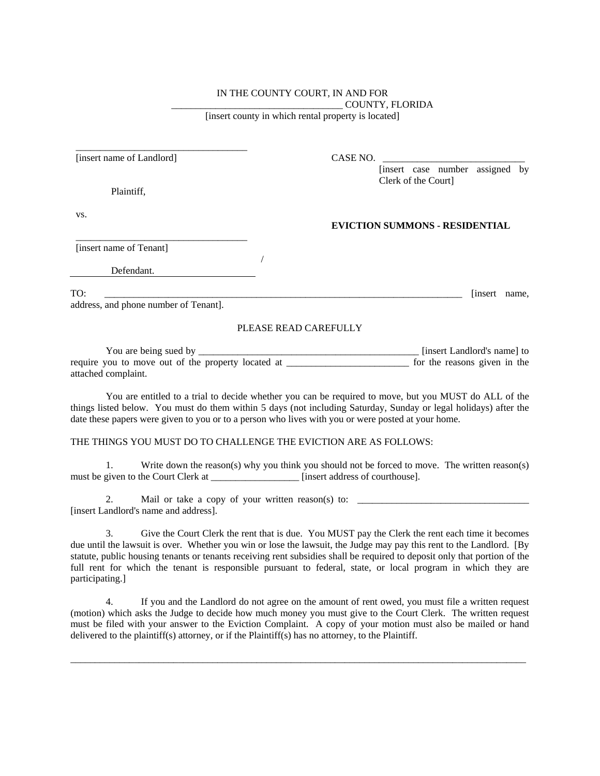## IN THE COUNTY COURT, IN AND FOR \_\_\_\_\_\_\_\_\_\_\_\_\_\_\_\_\_\_\_\_\_\_\_\_\_\_\_\_\_\_\_\_\_\_\_ COUNTY, FLORIDA

[insert county in which rental property is located]

| [insert name of Landlord]             | CASE NO.                              |
|---------------------------------------|---------------------------------------|
|                                       | [insert case number assigned by       |
| Plaintiff,                            | Clerk of the Court]                   |
| VS.                                   |                                       |
|                                       | <b>EVICTION SUMMONS - RESIDENTIAL</b> |
| [insert name of Tenant]               |                                       |
| Defendant.                            |                                       |
| TO:                                   | [insert]<br>name,                     |
| address, and phone number of Tenant]. |                                       |
|                                       | PLEASE READ CAREFULLY                 |

You are being sued by \_\_\_\_\_\_\_\_\_\_\_\_\_\_\_\_\_\_\_\_\_\_\_\_\_\_\_\_\_\_\_\_\_\_\_\_\_\_\_\_\_\_\_\_\_ [insert Landlord's name] to require you to move out of the property located at for the reasons given in the attached complaint.

You are entitled to a trial to decide whether you can be required to move, but you MUST do ALL of the things listed below. You must do them within 5 days (not including Saturday, Sunday or legal holidays) after the date these papers were given to you or to a person who lives with you or were posted at your home.

## THE THINGS YOU MUST DO TO CHALLENGE THE EVICTION ARE AS FOLLOWS:

1. Write down the reason(s) why you think you should not be forced to move. The written reason(s) must be given to the Court Clerk at \_\_\_\_\_\_\_\_\_\_\_\_\_\_\_\_\_\_\_\_\_ [insert address of courthouse].

2. Mail or take a copy of your written reason(s) to: \_\_\_\_\_\_\_\_\_\_\_\_\_\_\_\_\_\_\_\_\_\_\_\_\_\_\_\_\_\_\_\_\_\_\_ [insert Landlord's name and address].

3. Give the Court Clerk the rent that is due. You MUST pay the Clerk the rent each time it becomes due until the lawsuit is over. Whether you win or lose the lawsuit, the Judge may pay this rent to the Landlord. [By statute, public housing tenants or tenants receiving rent subsidies shall be required to deposit only that portion of the full rent for which the tenant is responsible pursuant to federal, state, or local program in which they are participating.]

4. If you and the Landlord do not agree on the amount of rent owed, you must file a written request (motion) which asks the Judge to decide how much money you must give to the Court Clerk. The written request must be filed with your answer to the Eviction Complaint. A copy of your motion must also be mailed or hand delivered to the plaintiff(s) attorney, or if the Plaintiff(s) has no attorney, to the Plaintiff.

\_\_\_\_\_\_\_\_\_\_\_\_\_\_\_\_\_\_\_\_\_\_\_\_\_\_\_\_\_\_\_\_\_\_\_\_\_\_\_\_\_\_\_\_\_\_\_\_\_\_\_\_\_\_\_\_\_\_\_\_\_\_\_\_\_\_\_\_\_\_\_\_\_\_\_\_\_\_\_\_\_\_\_\_\_\_\_\_\_\_\_\_\_